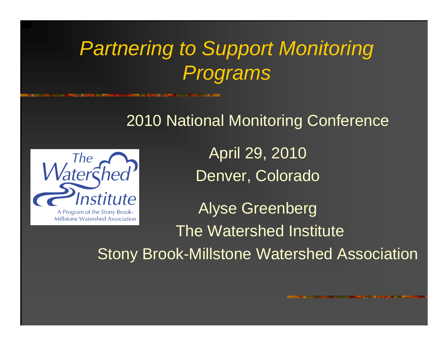## *Partnering to Support Monitoring Programs*

#### 2010 National Monitoring Conference



April 29, 2010 Denver, Colorado

Alyse Greenberg The Watershed InstituteStony Brook-Millstone Watershed Association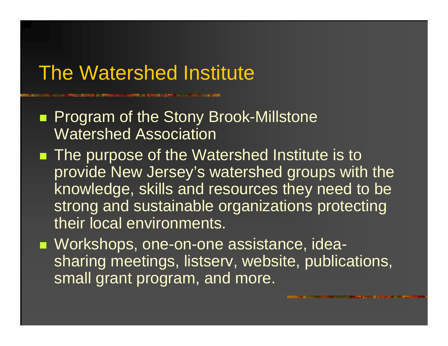### The Watershed Institute

**Program of the Stony Brook-Millstone** Watershed Association

■ The purpose of the Watershed Institute is to provide New Jersey's watershed groups with the knowledge, skills and resources they need to be strong and sustainable organizations protecting their local environments.

■ Workshops, one-on-one assistance, ideasharing meetings, listserv, website, publications, small grant program, and more.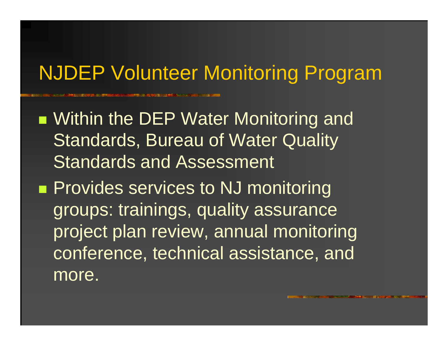## NJDEP Volunteer Monitoring Program

- **Number Water Monitoring and Article 15 Water Monitoring and** Standards, Bureau of Water Quality Standards and Assessment
- **Provides services to NJ monitoring** groups: trainings, quality assurance project plan review, annual monitoring conference, technical assistance, and more.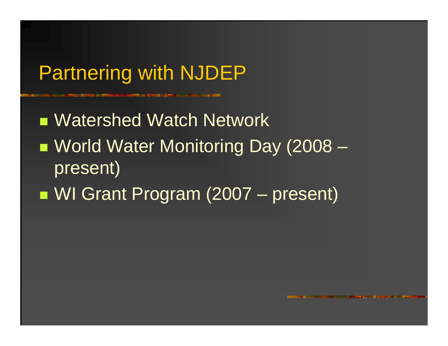## Partnering with NJDEP

■ Watershed Watch Network ■ World Water Monitoring Day (2008 – present) **Service Service** ■ WI Grant Program (2007 – present)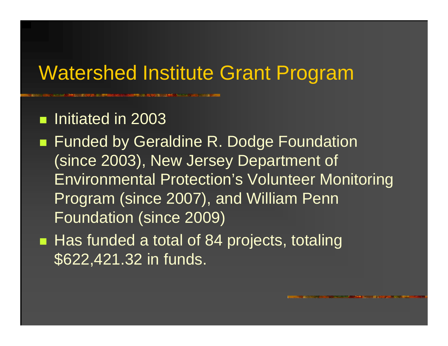### Watershed Institute Grant Program

**n** Initiated in 2003

- Funded by Geraldine R. Dodge Foundation (since 2003), New Jersey Department of Environmental Protection's Volunteer Monitoring Program (since 2007), and William Penn Foundation (since 2009)
- Has funded a total of 84 projects, totaling \$622,421.32 in funds.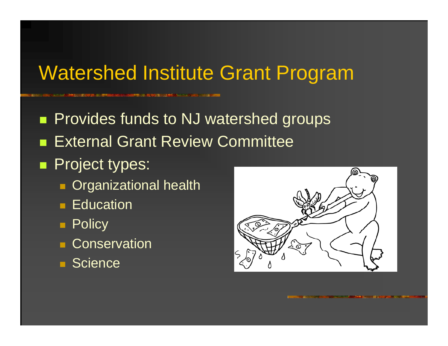## Watershed Institute Grant Program

**Provides funds to NJ watershed groups External Grant Review Committee** 

#### **Project types:**

- **Diganizational health**
- **Education**
- Policy
- **Conservation**
- **Science**

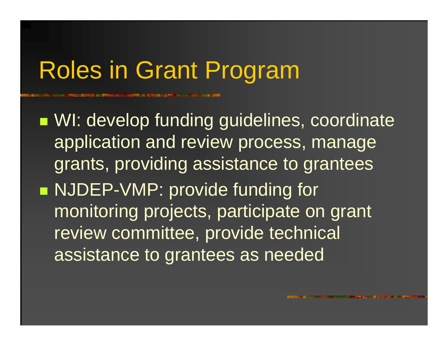# Roles in Grant Program

**NI: develop funding guidelines, coordinate** application and review process, manage grants, providing assistance to grantees ■ NJDEP-VMP: provide funding for monitoring projects, participate on grant review committee, provide technical assistance to grantees as needed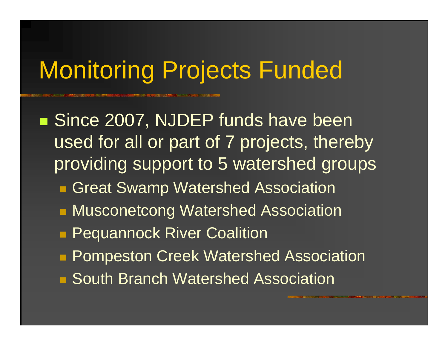# Monitoring Projects Funded

■ Since 2007, NJDEP funds have been used for all or part of 7 projects, thereby providing support to 5 watershed groups **Great Swamp Watershed Association RAUSCONETCONG Watershed Association Pequannock River Coalition Pompeston Creek Watershed Association** ■ South Branch Watershed Association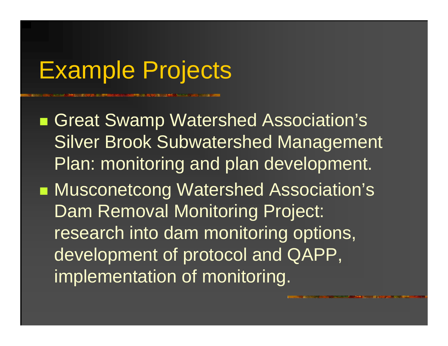# Example Projects

■ Great Swamp Watershed Association's Silver Brook Subwatershed Management Plan: monitoring and plan development. **Nusconetcong Watershed Association's** Dam Removal Monitoring Project: research into dam monitoring options, development of protocol and QAPP, implementation of monitoring.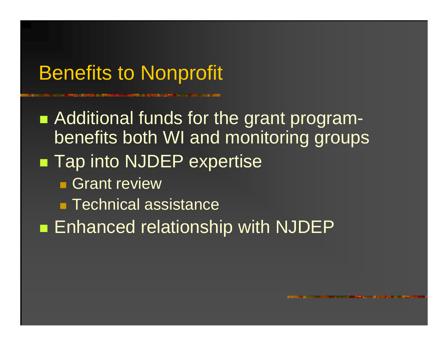## Benefits to Nonprofit

**• Additional funds for the grant program**benefits both WI and monitoring groups ■ Tap into NJDEP expertise **Grant review** ■ Technical assistance **Enhanced relationship with NJDEP**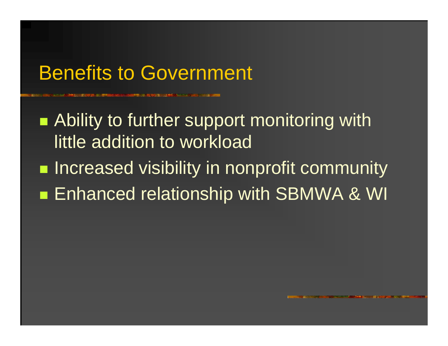### Benefits to Government

**• Ability to further support monitoring with** little addition to workload

**Increased visibility in nonprofit community Service Service Enhanced relationship with SBMWA & WI**